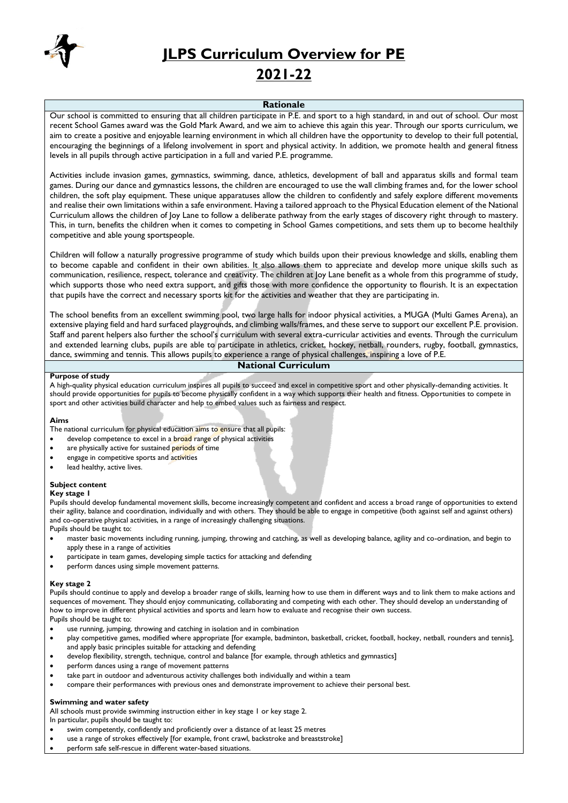

**JLPS Curriculum Overview for PE**

# **2021-22**

#### **Rationale**

Our school is committed to ensuring that all children participate in P.E. and sport to a high standard, in and out of school. Our most recent School Games award was the Gold Mark Award, and we aim to achieve this again this year. Through our sports curriculum, we aim to create a positive and enjoyable learning environment in which all children have the opportunity to develop to their full potential, encouraging the beginnings of a lifelong involvement in sport and physical activity. In addition, we promote health and general fitness levels in all pupils through active participation in a full and varied P.E. programme.

Activities include invasion games, gymnastics, swimming, dance, athletics, development of ball and apparatus skills and formal team games. During our dance and gymnastics lessons, the children are encouraged to use the wall climbing frames and, for the lower school children, the soft play equipment. These unique apparatuses allow the children to confidently and safely explore different movements and realise their own limitations within a safe environment. Having a tailored approach to the Physical Education element of the National Curriculum allows the children of Joy Lane to follow a deliberate pathway from the early stages of discovery right through to mastery. This, in turn, benefits the children when it comes to competing in School Games competitions, and sets them up to become healthily competitive and able young sportspeople.

Children will follow a naturally progressive programme of study which builds upon their previous knowledge and skills, enabling them to become capable and confident in their own abilities. It also allows them to appreciate and develop more unique skills such as communication, resilience, respect, tolerance and creativity. The children at Joy Lane benefit as a whole from this programme of study, which supports those who need extra support, and gifts those with more confidence the opportunity to flourish. It is an expectation that pupils have the correct and necessary sports kit for the activities and weather that they are participating in.

The school benefits from an excellent swimming pool, two large halls for indoor physical activities, a MUGA (Multi Games Arena), an extensive playing field and hard surfaced playgrounds, and climbing walls/frames, and these serve to support our excellent P.E. provision. Staff and parent helpers also further the school's curriculum with several extra-curricular activities and events. Through the curriculum and extended learning clubs, pupils are able to participate in athletics, cricket, hockey, netball, rounders, rugby, football, gymnastics, dance, swimming and tennis. This allows pupils to experience a range of physical challenges, inspiring a love of P.E.

### **National Curriculum**

#### **Purpose of study**

A high-quality physical education curriculum inspires all pupils to succeed and excel in competitive sport and other physically-demanding activities. It should provide opportunities for pupils to become physically confident in a way which supports their health and fitness. Opportunities to compete in sport and other activities build character and help to embed values such as fairness and respect.

#### **Aims**

The national curriculum for physical education aims to ensure that all pupils:

- develop competence to excel in a **broad** range of physical activities
- are physically active for sustained periods of time
- engage in competitive sports and activities
- lead healthy, active lives.

#### **Subject content**

**Key stage 1** 

Pupils should develop fundamental movement skills, become increasingly competent and confident and access a broad range of opportunities to extend their agility, balance and coordination, individually and with others. They should be able to engage in competitive (both against self and against others) and co-operative physical activities, in a range of increasingly challenging situations.

Pupils should be taught to:

- master basic movements including running, jumping, throwing and catching, as well as developing balance, agility and co-ordination, and begin to apply these in a range of activities
- participate in team games, developing simple tactics for attacking and defending
- perform dances using simple movement patterns.

#### **Key stage 2**

Pupils should continue to apply and develop a broader range of skills, learning how to use them in different ways and to link them to make actions and sequences of movement. They should enjoy communicating, collaborating and competing with each other. They should develop an understanding of how to improve in different physical activities and sports and learn how to evaluate and recognise their own success. Pupils should be taught to:

- use running, jumping, throwing and catching in isolation and in combination
- play competitive games, modified where appropriate [for example, badminton, basketball, cricket, football, hockey, netball, rounders and tennis], and apply basic principles suitable for attacking and defending
- develop flexibility, strength, technique, control and balance [for example, through athletics and gymnastics]
- perform dances using a range of movement patterns
- take part in outdoor and adventurous activity challenges both individually and within a team
- compare their performances with previous ones and demonstrate improvement to achieve their personal best.

## **Swimming and water safety**

All schools must provide swimming instruction either in key stage 1 or key stage 2.

- In particular, pupils should be taught to:
- swim competently, confidently and proficiently over a distance of at least 25 metres
- use a range of strokes effectively [for example, front crawl, backstroke and breaststroke]
- perform safe self-rescue in different water-based situations.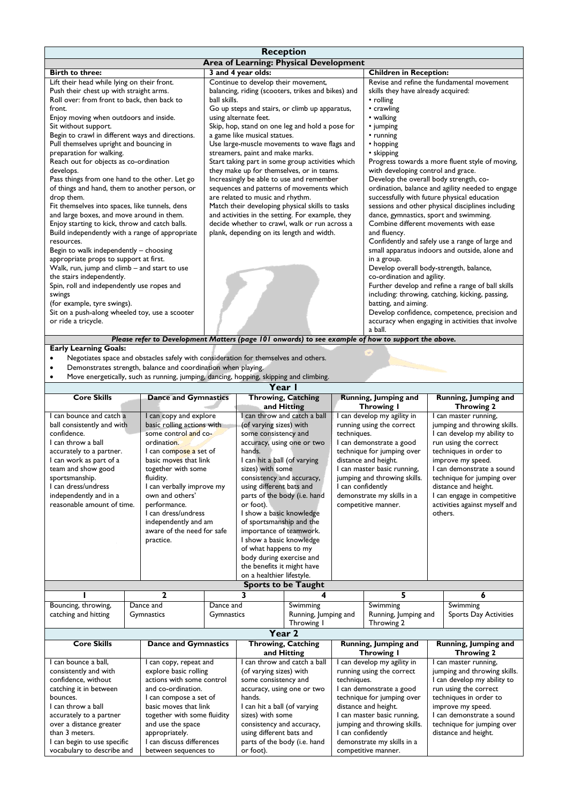| <b>Reception</b>                                 |                                                    |                                                   |  |  |  |  |  |
|--------------------------------------------------|----------------------------------------------------|---------------------------------------------------|--|--|--|--|--|
|                                                  | Area of Learning: Physical Development             |                                                   |  |  |  |  |  |
| <b>Birth to three:</b>                           | 3 and 4 year olds:                                 | <b>Children in Reception:</b>                     |  |  |  |  |  |
| Lift their head while lying on their front.      | Continue to develop their movement,                | Revise and refine the fundamental movement        |  |  |  |  |  |
| Push their chest up with straight arms.          | balancing, riding (scooters, trikes and bikes) and | skills they have already acquired:                |  |  |  |  |  |
| Roll over: from front to back, then back to      | ball skills.                                       | • rolling                                         |  |  |  |  |  |
| front.                                           | Go up steps and stairs, or climb up apparatus,     | • crawling                                        |  |  |  |  |  |
| Enjoy moving when outdoors and inside.           | using alternate feet.                              | • walking                                         |  |  |  |  |  |
| Sit without support.                             | Skip, hop, stand on one leg and hold a pose for    | • jumping                                         |  |  |  |  |  |
| Begin to crawl in different ways and directions. | a game like musical statues.                       | • running                                         |  |  |  |  |  |
| Pull themselves upright and bouncing in          | Use large-muscle movements to wave flags and       | • hopping                                         |  |  |  |  |  |
| preparation for walking.                         | streamers, paint and make marks.                   | • skipping                                        |  |  |  |  |  |
| Reach out for objects as co-ordination           | Start taking part in some group activities which   | Progress towards a more fluent style of moving,   |  |  |  |  |  |
| develops.                                        | they make up for themselves, or in teams.          | with developing control and grace.                |  |  |  |  |  |
| Pass things from one hand to the other. Let go   | Increasingly be able to use and remember           | Develop the overall body strength, co-            |  |  |  |  |  |
| of things and hand, them to another person, or   | sequences and patterns of movements which          | ordination, balance and agility needed to engage  |  |  |  |  |  |
| drop them.                                       | are related to music and rhythm.                   | successfully with future physical education       |  |  |  |  |  |
| Fit themselves into spaces, like tunnels, dens   | Match their developing physical skills to tasks    | sessions and other physical disciplines including |  |  |  |  |  |
| and large boxes, and move around in them.        | and activities in the setting. For example, they   | dance, gymnastics, sport and swimming.            |  |  |  |  |  |
| Enjoy starting to kick, throw and catch balls.   | decide whether to crawl, walk or run across a      | Combine different movements with ease             |  |  |  |  |  |
| Build independently with a range of appropriate  | plank, depending on its length and width.          | and fluency.                                      |  |  |  |  |  |
| resources.                                       |                                                    | Confidently and safely use a range of large and   |  |  |  |  |  |
| Begin to walk independently - choosing           |                                                    | small apparatus indoors and outside, alone and    |  |  |  |  |  |
| appropriate props to support at first.           |                                                    | in a group.                                       |  |  |  |  |  |
| Walk, run, jump and climb – and start to use     |                                                    | Develop overall body-strength, balance,           |  |  |  |  |  |
| the stairs independently.                        |                                                    | co-ordination and agility.                        |  |  |  |  |  |
| Spin, roll and independently use ropes and       |                                                    | Further develop and refine a range of ball skills |  |  |  |  |  |
| swings                                           |                                                    | including: throwing, catching, kicking, passing,  |  |  |  |  |  |
| (for example, tyre swings).                      |                                                    | batting, and aiming.                              |  |  |  |  |  |
| Sit on a push-along wheeled toy, use a scooter   |                                                    | Develop confidence, competence, precision and     |  |  |  |  |  |
| or ride a tricycle.                              |                                                    | accuracy when engaging in activities that involve |  |  |  |  |  |
|                                                  |                                                    | a ball.                                           |  |  |  |  |  |

*Please refer to Development Matters (page 101 onwards) to see example of how to support the above.*

## **Early Learning Goals:**

- Negotiates space and obstacles safely with consideration for themselves and others.<br>• Demonstrates strength, balance and coordination when playing.<br>• Move energetically, such as running, iumping, dancing, hopping, skippi
- Demonstrates strength, balance and coordination when playing.
- Move energetically, such as running, jumping, dancing, hopping, skipping and climbing.

|                                                                                                                                                                                                                                                                           | . .<br>.<br>Year I |                                                                                                                                                                                                                                                                                  |                                                                                                                                                                                                                                          |                                                                                                                                                                                                                                                   |                                                                                                                                                                                                                                                                                                                                                                                                                                                                                                                  |                                                                                                                                                                                                                                                                                                    |                                                                                                                                                                                                                                                                                                    |                                           |                                                                                                                                                                                                                                                                                                                            |  |
|---------------------------------------------------------------------------------------------------------------------------------------------------------------------------------------------------------------------------------------------------------------------------|--------------------|----------------------------------------------------------------------------------------------------------------------------------------------------------------------------------------------------------------------------------------------------------------------------------|------------------------------------------------------------------------------------------------------------------------------------------------------------------------------------------------------------------------------------------|---------------------------------------------------------------------------------------------------------------------------------------------------------------------------------------------------------------------------------------------------|------------------------------------------------------------------------------------------------------------------------------------------------------------------------------------------------------------------------------------------------------------------------------------------------------------------------------------------------------------------------------------------------------------------------------------------------------------------------------------------------------------------|----------------------------------------------------------------------------------------------------------------------------------------------------------------------------------------------------------------------------------------------------------------------------------------------------|----------------------------------------------------------------------------------------------------------------------------------------------------------------------------------------------------------------------------------------------------------------------------------------------------|-------------------------------------------|----------------------------------------------------------------------------------------------------------------------------------------------------------------------------------------------------------------------------------------------------------------------------------------------------------------------------|--|
| <b>Core Skills</b>                                                                                                                                                                                                                                                        |                    | <b>Dance and Gymnastics</b>                                                                                                                                                                                                                                                      |                                                                                                                                                                                                                                          | <b>Throwing, Catching</b><br>and Hitting                                                                                                                                                                                                          |                                                                                                                                                                                                                                                                                                                                                                                                                                                                                                                  |                                                                                                                                                                                                                                                                                                    | Running, Jumping and<br><b>Throwing I</b>                                                                                                                                                                                                                                                          |                                           | Running, Jumping and<br>Throwing 2                                                                                                                                                                                                                                                                                         |  |
| I can bounce and catch a<br>ball consistently and with<br>confidence.<br>I can throw a ball<br>accurately to a partner.<br>I can work as part of a<br>team and show good<br>sportsmanship.<br>I can dress/undress<br>independently and in a<br>reasonable amount of time. |                    | ordination.<br>fluidity.<br>own and others'<br>performance.<br>I can dress/undress<br>practice.                                                                                                                                                                                  | I can copy and explore<br>basic rolling actions with<br>some control and co-<br>I can compose a set of<br>basic moves that link<br>together with some<br>I can verbally improve my<br>independently and am<br>aware of the need for safe |                                                                                                                                                                                                                                                   | I can throw and catch a ball<br>(of varying sizes) with<br>some consistency and<br>accuracy, using one or two<br>hands.<br>I can hit a ball (of varying<br>sizes) with some<br>consistency and accuracy,<br>using different bats and<br>parts of the body (i.e. hand<br>or foot).<br>I show a basic knowledge<br>of sportsmanship and the<br>importance of teamwork.<br>I show a basic knowledge<br>of what happens to my<br>body during exercise and<br>the benefits it might have<br>on a healthier lifestyle. |                                                                                                                                                                                                                                                                                                    | I can develop my agility in<br>running using the correct<br>techniques.<br>I can demonstrate a good<br>technique for jumping over<br>distance and height.<br>I can master basic running,<br>jumping and throwing skills.<br>I can confidently<br>demonstrate my skills in a<br>competitive manner. |                                           | I can master running,<br>jumping and throwing skills.<br>I can develop my ability to<br>run using the correct<br>techniques in order to<br>improve my speed.<br>I can demonstrate a sound<br>technique for jumping over<br>distance and height.<br>I can engage in competitive<br>activities against myself and<br>others. |  |
|                                                                                                                                                                                                                                                                           |                    |                                                                                                                                                                                                                                                                                  |                                                                                                                                                                                                                                          | <b>Sports to be Taught</b>                                                                                                                                                                                                                        |                                                                                                                                                                                                                                                                                                                                                                                                                                                                                                                  |                                                                                                                                                                                                                                                                                                    |                                                                                                                                                                                                                                                                                                    |                                           |                                                                                                                                                                                                                                                                                                                            |  |
|                                                                                                                                                                                                                                                                           |                    | 7                                                                                                                                                                                                                                                                                |                                                                                                                                                                                                                                          | 3                                                                                                                                                                                                                                                 |                                                                                                                                                                                                                                                                                                                                                                                                                                                                                                                  |                                                                                                                                                                                                                                                                                                    | 5                                                                                                                                                                                                                                                                                                  |                                           | 6                                                                                                                                                                                                                                                                                                                          |  |
| Bouncing, throwing,<br>catching and hitting                                                                                                                                                                                                                               |                    | Dance and<br>Gymnastics                                                                                                                                                                                                                                                          | Dance and<br>Gymnastics                                                                                                                                                                                                                  | Swimming<br>Running, Jumping and<br>Throwing I                                                                                                                                                                                                    |                                                                                                                                                                                                                                                                                                                                                                                                                                                                                                                  | Swimming<br>Running, Jumping and<br>Throwing 2                                                                                                                                                                                                                                                     |                                                                                                                                                                                                                                                                                                    |                                           | Swimming<br><b>Sports Day Activities</b>                                                                                                                                                                                                                                                                                   |  |
|                                                                                                                                                                                                                                                                           |                    |                                                                                                                                                                                                                                                                                  |                                                                                                                                                                                                                                          | Year <sub>2</sub>                                                                                                                                                                                                                                 |                                                                                                                                                                                                                                                                                                                                                                                                                                                                                                                  |                                                                                                                                                                                                                                                                                                    |                                                                                                                                                                                                                                                                                                    |                                           |                                                                                                                                                                                                                                                                                                                            |  |
| <b>Core Skills</b>                                                                                                                                                                                                                                                        |                    | <b>Dance and Gymnastics</b>                                                                                                                                                                                                                                                      |                                                                                                                                                                                                                                          | <b>Throwing, Catching</b><br>and Hitting                                                                                                                                                                                                          |                                                                                                                                                                                                                                                                                                                                                                                                                                                                                                                  | Running, Jumping and<br><b>Throwing I</b>                                                                                                                                                                                                                                                          |                                                                                                                                                                                                                                                                                                    | Running, Jumping and<br><b>Throwing 2</b> |                                                                                                                                                                                                                                                                                                                            |  |
| I can bounce a ball.<br>consistently and with<br>confidence, without<br>catching it in between<br>bounces.<br>I can throw a ball<br>accurately to a partner<br>over a distance greater<br>than 3 meters.<br>I can begin to use specific<br>vocabulary to describe and     |                    | I can copy, repeat and<br>explore basic rolling<br>actions with some control<br>and co-ordination.<br>I can compose a set of<br>basic moves that link<br>together with some fluidity<br>and use the space<br>appropriately.<br>I can discuss differences<br>between sequences to |                                                                                                                                                                                                                                          | (of varying sizes) with<br>some consistency and<br>accuracy, using one or two<br>hands.<br>I can hit a ball (of varying<br>sizes) with some<br>consistency and accuracy,<br>using different bats and<br>parts of the body (i.e. hand<br>or foot). | can throw and catch a ball                                                                                                                                                                                                                                                                                                                                                                                                                                                                                       | I can develop my agility in<br>running using the correct<br>techniques.<br>I can demonstrate a good<br>technique for jumping over<br>distance and height.<br>I can master basic running,<br>jumping and throwing skills.<br>I can confidently<br>demonstrate my skills in a<br>competitive manner. |                                                                                                                                                                                                                                                                                                    |                                           | I can master running,<br>jumping and throwing skills.<br>I can develop my ability to<br>run using the correct<br>techniques in order to<br>improve my speed.<br>I can demonstrate a sound<br>technique for jumping over<br>distance and height.                                                                            |  |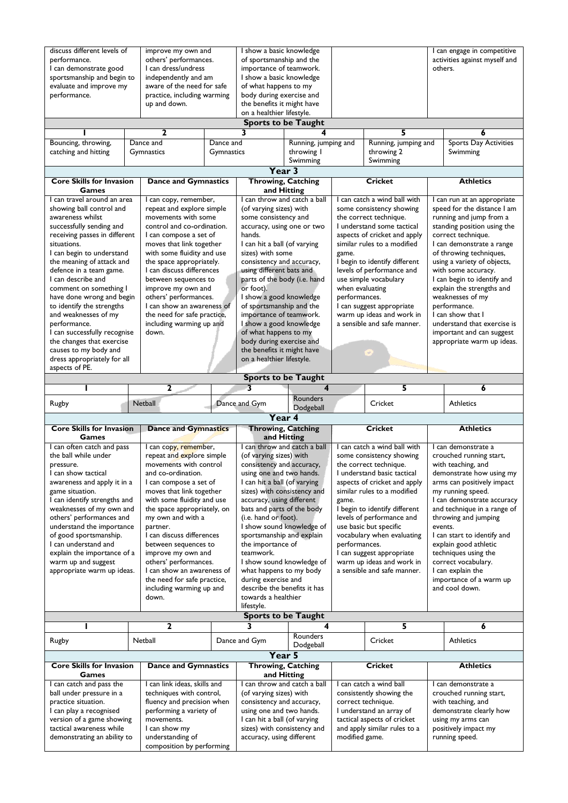| discuss different levels of<br>performance.<br>I can demonstrate good<br>sportsmanship and begin to<br>evaluate and improve my<br>performance. |  | I can dress/undress<br>up and down.                       | I show a basic knowledge<br>improve my own and<br>others' performances.<br>of sportsmanship and the<br>importance of teamwork.<br>I show a basic knowledge<br>independently and am<br>aware of the need for safe<br>of what happens to my<br>body during exercise and<br>practice, including warming<br>the benefits it might have<br>on a healthier lifestyle. |                                                         |                       |                 | I can engage in competitive<br>activities against myself and<br>others. |                                                            |
|------------------------------------------------------------------------------------------------------------------------------------------------|--|-----------------------------------------------------------|-----------------------------------------------------------------------------------------------------------------------------------------------------------------------------------------------------------------------------------------------------------------------------------------------------------------------------------------------------------------|---------------------------------------------------------|-----------------------|-----------------|-------------------------------------------------------------------------|------------------------------------------------------------|
|                                                                                                                                                |  | 2                                                         |                                                                                                                                                                                                                                                                                                                                                                 | <b>Sports to be Taught</b><br>3                         |                       |                 | 5                                                                       | 6                                                          |
| Bouncing, throwing,                                                                                                                            |  | Dance and                                                 | Dance and                                                                                                                                                                                                                                                                                                                                                       |                                                         | Running, jumping and  |                 | Running, jumping and                                                    | <b>Sports Day Activities</b>                               |
| catching and hitting                                                                                                                           |  | Gymnastics                                                | Gymnastics                                                                                                                                                                                                                                                                                                                                                      |                                                         | throwing I            |                 | throwing 2                                                              | Swimming                                                   |
|                                                                                                                                                |  |                                                           |                                                                                                                                                                                                                                                                                                                                                                 |                                                         | Swimming              |                 | Swimming                                                                |                                                            |
|                                                                                                                                                |  |                                                           |                                                                                                                                                                                                                                                                                                                                                                 | Year 3                                                  |                       |                 |                                                                         |                                                            |
| <b>Core Skills for Invasion</b><br><b>Dance and Gymnastics</b><br><b>Games</b>                                                                 |  |                                                           | <b>Throwing, Catching</b><br>and Hitting                                                                                                                                                                                                                                                                                                                        |                                                         |                       | Cricket         | <b>Athletics</b>                                                        |                                                            |
| I can travel around an area<br>showing ball control and                                                                                        |  | I can copy, remember,<br>repeat and explore simple        |                                                                                                                                                                                                                                                                                                                                                                 | I can throw and catch a ball<br>(of varying sizes) with |                       |                 | I can catch a wind ball with<br>some consistency showing                | I can run at an appropriate<br>speed for the distance I am |
| awareness whilst                                                                                                                               |  | movements with some                                       |                                                                                                                                                                                                                                                                                                                                                                 | some consistency and                                    |                       |                 | the correct technique.                                                  | running and jump from a                                    |
| successfully sending and                                                                                                                       |  | control and co-ordination.                                |                                                                                                                                                                                                                                                                                                                                                                 | accuracy, using one or two                              |                       |                 | I understand some tactical                                              | standing position using the                                |
| receiving passes in different                                                                                                                  |  | I can compose a set of                                    |                                                                                                                                                                                                                                                                                                                                                                 | hands.                                                  |                       |                 | aspects of cricket and apply                                            | correct technique.                                         |
| situations.                                                                                                                                    |  | moves that link together                                  |                                                                                                                                                                                                                                                                                                                                                                 | I can hit a ball (of varying                            |                       |                 | similar rules to a modified                                             | I can demonstrate a range                                  |
| I can begin to understand<br>the meaning of attack and                                                                                         |  | with some fluidity and use<br>the space appropriately.    |                                                                                                                                                                                                                                                                                                                                                                 | sizes) with some<br>consistency and accuracy,           |                       | game.           | I begin to identify different                                           | of throwing techniques,<br>using a variety of objects,     |
| defence in a team game.                                                                                                                        |  | I can discuss differences                                 |                                                                                                                                                                                                                                                                                                                                                                 | using different bats and                                |                       |                 | levels of performance and                                               | with some accuracy.                                        |
| I can describe and                                                                                                                             |  | between sequences to                                      |                                                                                                                                                                                                                                                                                                                                                                 | parts of the body (i.e. hand                            |                       |                 | use simple vocabulary                                                   | I can begin to identify and                                |
| comment on something I                                                                                                                         |  | improve my own and                                        |                                                                                                                                                                                                                                                                                                                                                                 | or foot).                                               |                       | when evaluating |                                                                         | explain the strengths and                                  |
| have done wrong and begin                                                                                                                      |  | others' performances.                                     |                                                                                                                                                                                                                                                                                                                                                                 | I show a good knowledge                                 |                       | performances.   |                                                                         | weaknesses of my                                           |
| to identify the strengths                                                                                                                      |  | I can show an awareness of                                |                                                                                                                                                                                                                                                                                                                                                                 | of sportsmanship and the                                |                       |                 | I can suggest appropriate                                               | performance.                                               |
| and weaknesses of my<br>performance.                                                                                                           |  | the need for safe practice,<br>including warming up and   |                                                                                                                                                                                                                                                                                                                                                                 | importance of teamwork.<br>I show a good knowledge      |                       |                 | warm up ideas and work in<br>a sensible and safe manner.                | I can show that I<br>understand that exercise is           |
| I can successfully recognise                                                                                                                   |  | down.                                                     |                                                                                                                                                                                                                                                                                                                                                                 | of what happens to my                                   |                       |                 |                                                                         | important and can suggest                                  |
| the changes that exercise                                                                                                                      |  |                                                           |                                                                                                                                                                                                                                                                                                                                                                 | body during exercise and                                |                       |                 |                                                                         | appropriate warm up ideas.                                 |
| causes to my body and                                                                                                                          |  |                                                           |                                                                                                                                                                                                                                                                                                                                                                 | the benefits it might have                              |                       |                 | $\frac{1}{2}$                                                           |                                                            |
| dress appropriately for all                                                                                                                    |  |                                                           |                                                                                                                                                                                                                                                                                                                                                                 | on a healthier lifestyle.                               |                       |                 |                                                                         |                                                            |
| aspects of PE.                                                                                                                                 |  |                                                           |                                                                                                                                                                                                                                                                                                                                                                 |                                                         |                       |                 |                                                                         |                                                            |
|                                                                                                                                                |  | 2                                                         |                                                                                                                                                                                                                                                                                                                                                                 | <b>Sports to be Taught</b><br>3                         | 4                     |                 | 5                                                                       | 6                                                          |
|                                                                                                                                                |  |                                                           |                                                                                                                                                                                                                                                                                                                                                                 |                                                         |                       |                 |                                                                         |                                                            |
|                                                                                                                                                |  |                                                           |                                                                                                                                                                                                                                                                                                                                                                 |                                                         |                       |                 |                                                                         |                                                            |
| Rugby                                                                                                                                          |  | Netball                                                   |                                                                                                                                                                                                                                                                                                                                                                 | Dance and Gym                                           | Rounders<br>Dodgeball |                 | Cricket                                                                 | <b>Athletics</b>                                           |
|                                                                                                                                                |  |                                                           |                                                                                                                                                                                                                                                                                                                                                                 | Year 4                                                  |                       |                 |                                                                         |                                                            |
| <b>Core Skills for Invasion</b>                                                                                                                |  | <b>Dance and Gymnastics</b>                               |                                                                                                                                                                                                                                                                                                                                                                 | <b>Throwing, Catching</b>                               |                       |                 | <b>Cricket</b>                                                          | <b>Athletics</b>                                           |
| Games                                                                                                                                          |  |                                                           |                                                                                                                                                                                                                                                                                                                                                                 | and Hitting                                             |                       |                 |                                                                         |                                                            |
| I can often catch and pass<br>the ball while under                                                                                             |  | I can copy, remember,<br>repeat and explore simple        |                                                                                                                                                                                                                                                                                                                                                                 | I can throw and catch a ball<br>(of varying sizes) with |                       |                 | I can catch a wind ball with<br>some consistency showing                | I can demonstrate a<br>crouched running start,             |
| pressure.                                                                                                                                      |  | movements with control                                    |                                                                                                                                                                                                                                                                                                                                                                 | consistency and accuracy,                               |                       |                 | the correct technique.                                                  | with teaching, and                                         |
| I can show tactical                                                                                                                            |  | and co-ordination.                                        |                                                                                                                                                                                                                                                                                                                                                                 | using one and two hands.                                |                       |                 | I understand basic tactical                                             | demonstrate how using my                                   |
| awareness and apply it in a                                                                                                                    |  | I can compose a set of                                    |                                                                                                                                                                                                                                                                                                                                                                 | I can hit a ball (of varying                            |                       |                 | aspects of cricket and apply                                            | arms can positively impact                                 |
| game situation.                                                                                                                                |  | moves that link together                                  |                                                                                                                                                                                                                                                                                                                                                                 | sizes) with consistency and                             |                       |                 | similar rules to a modified                                             | my running speed.                                          |
| I can identify strengths and<br>weaknesses of my own and                                                                                       |  | with some fluidity and use<br>the space appropriately, on |                                                                                                                                                                                                                                                                                                                                                                 | accuracy, using different<br>bats and parts of the body |                       | game.           | I begin to identify different                                           | I can demonstrate accuracy<br>and technique in a range of  |
| others' performances and                                                                                                                       |  | my own and with a                                         |                                                                                                                                                                                                                                                                                                                                                                 | (i.e. hand or foot).                                    |                       |                 | levels of performance and                                               | throwing and jumping                                       |
| understand the importance                                                                                                                      |  | partner.                                                  |                                                                                                                                                                                                                                                                                                                                                                 | I show sound knowledge of                               |                       |                 | use basic but specific                                                  | events.                                                    |
| of good sportsmanship.                                                                                                                         |  | I can discuss differences                                 |                                                                                                                                                                                                                                                                                                                                                                 | sportsmanship and explain                               |                       |                 | vocabulary when evaluating                                              | I can start to identify and                                |
| I can understand and                                                                                                                           |  | between sequences to                                      |                                                                                                                                                                                                                                                                                                                                                                 | the importance of                                       |                       | performances.   |                                                                         | explain good athletic                                      |
| explain the importance of a<br>warm up and suggest                                                                                             |  | improve my own and<br>others' performances.               |                                                                                                                                                                                                                                                                                                                                                                 | teamwork.<br>I show sound knowledge of                  |                       |                 | I can suggest appropriate<br>warm up ideas and work in                  | techniques using the<br>correct vocabulary.                |
| appropriate warm up ideas.                                                                                                                     |  | I can show an awareness of                                |                                                                                                                                                                                                                                                                                                                                                                 | what happens to my body                                 |                       |                 | a sensible and safe manner.                                             | I can explain the                                          |
|                                                                                                                                                |  | the need for safe practice,                               |                                                                                                                                                                                                                                                                                                                                                                 | during exercise and                                     |                       |                 |                                                                         | importance of a warm up                                    |
|                                                                                                                                                |  | including warming up and                                  |                                                                                                                                                                                                                                                                                                                                                                 | describe the benefits it has                            |                       |                 |                                                                         | and cool down.                                             |
|                                                                                                                                                |  | down.                                                     |                                                                                                                                                                                                                                                                                                                                                                 | towards a healthier<br>lifestyle.                       |                       |                 |                                                                         |                                                            |
|                                                                                                                                                |  |                                                           |                                                                                                                                                                                                                                                                                                                                                                 | <b>Sports to be Taught</b>                              |                       |                 |                                                                         |                                                            |
|                                                                                                                                                |  | 2                                                         |                                                                                                                                                                                                                                                                                                                                                                 |                                                         | 4                     |                 | 5                                                                       | 6                                                          |
| Rugby                                                                                                                                          |  | Netball                                                   |                                                                                                                                                                                                                                                                                                                                                                 | Dance and Gym                                           | Rounders<br>Dodgeball |                 | Cricket                                                                 | Athletics                                                  |
|                                                                                                                                                |  |                                                           |                                                                                                                                                                                                                                                                                                                                                                 | Year 5                                                  |                       |                 |                                                                         |                                                            |
| <b>Core Skills for Invasion</b>                                                                                                                |  | <b>Dance and Gymnastics</b>                               |                                                                                                                                                                                                                                                                                                                                                                 | <b>Throwing, Catching</b>                               |                       |                 | Cricket                                                                 | <b>Athletics</b>                                           |
| Games                                                                                                                                          |  |                                                           |                                                                                                                                                                                                                                                                                                                                                                 | and Hitting                                             |                       |                 |                                                                         |                                                            |
| I can catch and pass the                                                                                                                       |  | I can link ideas, skills and                              |                                                                                                                                                                                                                                                                                                                                                                 | I can throw and catch a ball                            |                       |                 | I can catch a wind ball                                                 | I can demonstrate a                                        |
| ball under pressure in a                                                                                                                       |  | techniques with control,                                  |                                                                                                                                                                                                                                                                                                                                                                 | (of varying sizes) with                                 |                       |                 | consistently showing the                                                | crouched running start,                                    |
| practice situation.<br>I can play a recognised                                                                                                 |  | fluency and precision when<br>performing a variety of     |                                                                                                                                                                                                                                                                                                                                                                 | consistency and accuracy,<br>using one and two hands.   |                       |                 | correct technique.<br>I understand an array of                          | with teaching, and<br>demonstrate clearly how              |
| version of a game showing                                                                                                                      |  | movements.                                                |                                                                                                                                                                                                                                                                                                                                                                 | I can hit a ball (of varying                            |                       |                 | tactical aspects of cricket                                             | using my arms can                                          |
| tactical awareness while                                                                                                                       |  | I can show my                                             |                                                                                                                                                                                                                                                                                                                                                                 | sizes) with consistency and                             |                       |                 | and apply similar rules to a                                            | positively impact my                                       |
| demonstrating an ability to                                                                                                                    |  | understanding of<br>composition by performing             |                                                                                                                                                                                                                                                                                                                                                                 | accuracy, using different                               |                       | modified game.  |                                                                         | running speed.                                             |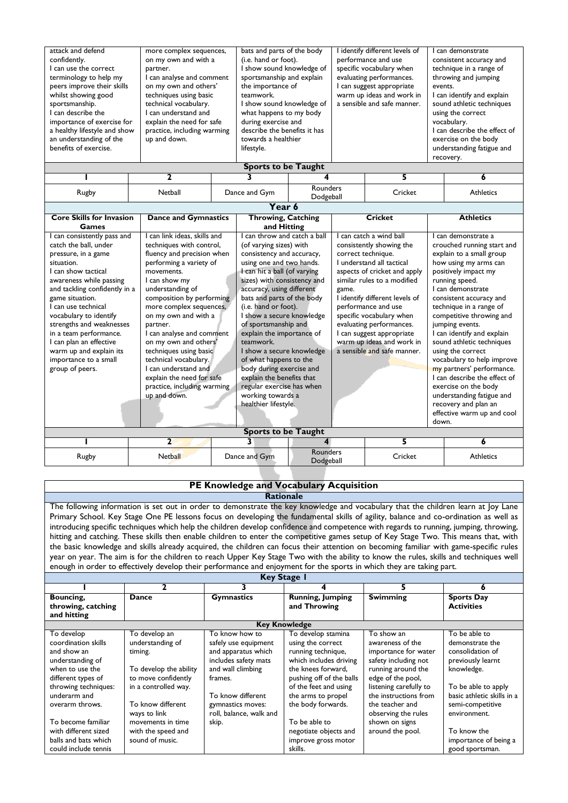| attack and defend<br>confidently.<br>I can use the correct<br>terminology to help my<br>peers improve their skills<br>whilst showing good<br>sportsmanship.<br>I can describe the<br>importance of exercise for<br>a healthy lifestyle and show<br>an understanding of the<br>benefits of exercise.                                                                                                      | more complex sequences,<br>on my own and with a<br>partner.<br>I can analyse and comment<br>on my own and others'<br>techniques using basic<br>technical vocabulary.<br>I can understand and<br>explain the need for safe<br>practice, including warming<br>up and down.                                                                                                                                                                                                      | bats and parts of the body<br>(i.e. hand or foot).<br>I show sound knowledge of<br>sportsmanship and explain<br>the importance of<br>teamwork.<br>I show sound knowledge of<br>what happens to my body<br>during exercise and<br>describe the benefits it has<br>towards a healthier |                                                                                                                                                                                                                                                                                                                                                                                                                                                                                                                                                             | I identify different levels of<br>performance and use<br>specific vocabulary when<br>evaluating performances.<br>I can suggest appropriate<br>warm up ideas and work in<br>a sensible and safe manner. |         | I can demonstrate<br>consistent accuracy and<br>technique in a range of<br>throwing and jumping<br>events.<br>I can identify and explain<br>sound athletic techniques<br>using the correct<br>vocabulary.<br>I can describe the effect of<br>exercise on the body<br>understanding fatigue and                                                                                  |                  |                                                                                                                                                                                                                                                                                                                                                                                                                                                                                                                                                                  |
|----------------------------------------------------------------------------------------------------------------------------------------------------------------------------------------------------------------------------------------------------------------------------------------------------------------------------------------------------------------------------------------------------------|-------------------------------------------------------------------------------------------------------------------------------------------------------------------------------------------------------------------------------------------------------------------------------------------------------------------------------------------------------------------------------------------------------------------------------------------------------------------------------|--------------------------------------------------------------------------------------------------------------------------------------------------------------------------------------------------------------------------------------------------------------------------------------|-------------------------------------------------------------------------------------------------------------------------------------------------------------------------------------------------------------------------------------------------------------------------------------------------------------------------------------------------------------------------------------------------------------------------------------------------------------------------------------------------------------------------------------------------------------|--------------------------------------------------------------------------------------------------------------------------------------------------------------------------------------------------------|---------|---------------------------------------------------------------------------------------------------------------------------------------------------------------------------------------------------------------------------------------------------------------------------------------------------------------------------------------------------------------------------------|------------------|------------------------------------------------------------------------------------------------------------------------------------------------------------------------------------------------------------------------------------------------------------------------------------------------------------------------------------------------------------------------------------------------------------------------------------------------------------------------------------------------------------------------------------------------------------------|
|                                                                                                                                                                                                                                                                                                                                                                                                          |                                                                                                                                                                                                                                                                                                                                                                                                                                                                               |                                                                                                                                                                                                                                                                                      | lifestyle.                                                                                                                                                                                                                                                                                                                                                                                                                                                                                                                                                  |                                                                                                                                                                                                        |         |                                                                                                                                                                                                                                                                                                                                                                                 |                  | recovery.                                                                                                                                                                                                                                                                                                                                                                                                                                                                                                                                                        |
|                                                                                                                                                                                                                                                                                                                                                                                                          |                                                                                                                                                                                                                                                                                                                                                                                                                                                                               |                                                                                                                                                                                                                                                                                      | <b>Sports to be Taught</b>                                                                                                                                                                                                                                                                                                                                                                                                                                                                                                                                  |                                                                                                                                                                                                        |         |                                                                                                                                                                                                                                                                                                                                                                                 |                  |                                                                                                                                                                                                                                                                                                                                                                                                                                                                                                                                                                  |
|                                                                                                                                                                                                                                                                                                                                                                                                          | 2                                                                                                                                                                                                                                                                                                                                                                                                                                                                             |                                                                                                                                                                                                                                                                                      | 3                                                                                                                                                                                                                                                                                                                                                                                                                                                                                                                                                           | 4                                                                                                                                                                                                      |         | 5                                                                                                                                                                                                                                                                                                                                                                               |                  | 6                                                                                                                                                                                                                                                                                                                                                                                                                                                                                                                                                                |
| Rugby                                                                                                                                                                                                                                                                                                                                                                                                    | Netball                                                                                                                                                                                                                                                                                                                                                                                                                                                                       |                                                                                                                                                                                                                                                                                      | Dance and Gym                                                                                                                                                                                                                                                                                                                                                                                                                                                                                                                                               | Rounders<br>Dodgeball                                                                                                                                                                                  |         | Cricket                                                                                                                                                                                                                                                                                                                                                                         | <b>Athletics</b> |                                                                                                                                                                                                                                                                                                                                                                                                                                                                                                                                                                  |
|                                                                                                                                                                                                                                                                                                                                                                                                          |                                                                                                                                                                                                                                                                                                                                                                                                                                                                               |                                                                                                                                                                                                                                                                                      | Year 6                                                                                                                                                                                                                                                                                                                                                                                                                                                                                                                                                      |                                                                                                                                                                                                        |         |                                                                                                                                                                                                                                                                                                                                                                                 |                  |                                                                                                                                                                                                                                                                                                                                                                                                                                                                                                                                                                  |
| <b>Core Skills for Invasion</b><br>Games                                                                                                                                                                                                                                                                                                                                                                 |                                                                                                                                                                                                                                                                                                                                                                                                                                                                               | <b>Dance and Gymnastics</b>                                                                                                                                                                                                                                                          |                                                                                                                                                                                                                                                                                                                                                                                                                                                                                                                                                             | <b>Throwing, Catching</b><br>and Hitting                                                                                                                                                               | Cricket |                                                                                                                                                                                                                                                                                                                                                                                 | <b>Athletics</b> |                                                                                                                                                                                                                                                                                                                                                                                                                                                                                                                                                                  |
| I can consistently pass and<br>catch the ball, under<br>pressure, in a game<br>situation.<br>I can show tactical<br>awareness while passing<br>and tackling confidently in a<br>game situation.<br>I can use technical<br>vocabulary to identify<br>strengths and weaknesses<br>in a team performance.<br>I can plan an effective<br>warm up and explain its<br>importance to a small<br>group of peers. | I can link ideas, skills and<br>techniques with control,<br>fluency and precision when<br>performing a variety of<br>movements.<br>I can show my<br>understanding of<br>composition by performing<br>more complex sequences,<br>on my own and with a<br>partner.<br>I can analyse and comment<br>on my own and others'<br>techniques using basic<br>technical vocabulary.<br>I can understand and<br>explain the need for safe<br>practice, including warming<br>up and down. |                                                                                                                                                                                                                                                                                      | I can throw and catch a ball<br>(of varying sizes) with<br>consistency and accuracy,<br>using one and two hands.<br>I can hit a ball (of varying<br>sizes) with consistency and<br>accuracy, using different<br>bats and parts of the body<br>(i.e. hand or foot).<br>I show a secure knowledge<br>of sportsmanship and<br>explain the importance of<br>teamwork.<br>I show a secure knowledge<br>of what happens to the<br>body during exercise and<br>explain the benefits that<br>regular exercise has when<br>working towards a<br>healthier lifestyle. |                                                                                                                                                                                                        | game.   | I can catch a wind ball<br>consistently showing the<br>correct technique.<br>I understand all tactical<br>aspects of cricket and apply<br>similar rules to a modified<br>I identify different levels of<br>performance and use<br>specific vocabulary when<br>evaluating performances.<br>I can suggest appropriate<br>warm up ideas and work in<br>a sensible and safe manner. | down.            | I can demonstrate a<br>crouched running start and<br>explain to a small group<br>how using my arms can<br>positively impact my<br>running speed.<br>I can demonstrate<br>consistent accuracy and<br>technique in a range of<br>competitive throwing and<br>jumping events.<br>I can identify and explain<br>sound athletic techniques<br>using the correct<br>vocabulary to help improve<br>my partners' performance.<br>I can describe the effect of<br>exercise on the body<br>understanding fatigue and<br>recovery and plan an<br>effective warm up and cool |
|                                                                                                                                                                                                                                                                                                                                                                                                          |                                                                                                                                                                                                                                                                                                                                                                                                                                                                               |                                                                                                                                                                                                                                                                                      | <b>Sports to be Taught</b>                                                                                                                                                                                                                                                                                                                                                                                                                                                                                                                                  |                                                                                                                                                                                                        |         |                                                                                                                                                                                                                                                                                                                                                                                 |                  |                                                                                                                                                                                                                                                                                                                                                                                                                                                                                                                                                                  |
|                                                                                                                                                                                                                                                                                                                                                                                                          | 2                                                                                                                                                                                                                                                                                                                                                                                                                                                                             |                                                                                                                                                                                                                                                                                      | 3                                                                                                                                                                                                                                                                                                                                                                                                                                                                                                                                                           | 4                                                                                                                                                                                                      |         | 5                                                                                                                                                                                                                                                                                                                                                                               |                  | 6                                                                                                                                                                                                                                                                                                                                                                                                                                                                                                                                                                |
| Rugby                                                                                                                                                                                                                                                                                                                                                                                                    | Netball                                                                                                                                                                                                                                                                                                                                                                                                                                                                       |                                                                                                                                                                                                                                                                                      | Dance and Gym                                                                                                                                                                                                                                                                                                                                                                                                                                                                                                                                               | Rounders<br>Dodgeball                                                                                                                                                                                  | Cricket |                                                                                                                                                                                                                                                                                                                                                                                 |                  | <b>Athletics</b>                                                                                                                                                                                                                                                                                                                                                                                                                                                                                                                                                 |

## **PE Knowledge and Vocabulary Acquisition Rationale**

The following information is set out in order to demonstrate the key knowledge and vocabulary that the children learn at Joy Lane Primary School. Key Stage One PE lessons focus on developing the fundamental skills of agility, balance and co-ordination as well as introducing specific techniques which help the children develop confidence and competence with regards to running, jumping, throwing, hitting and catching. These skills then enable children to enter the competitive games setup of Key Stage Two. This means that, with the basic knowledge and skills already acquired, the children can focus their attention on becoming familiar with game-specific rules year on year. The aim is for the children to reach Upper Key Stage Two with the ability to know the rules, skills and techniques well enough in order to effectively develop their performance and enjoyment for the sports in which they are taking part.

| <b>Key Stage I</b>   |                        |                         |                          |                        |                            |  |  |  |
|----------------------|------------------------|-------------------------|--------------------------|------------------------|----------------------------|--|--|--|
|                      |                        |                         |                          |                        |                            |  |  |  |
| Bouncing,            | <b>Dance</b>           | <b>Gymnastics</b>       | <b>Running, Jumping</b>  | <b>Swimming</b>        | <b>Sports Day</b>          |  |  |  |
| throwing, catching   |                        |                         | and Throwing             |                        | <b>Activities</b>          |  |  |  |
| and hitting          |                        |                         |                          |                        |                            |  |  |  |
|                      |                        |                         | <b>Key Knowledge</b>     |                        |                            |  |  |  |
| To develop           | To develop an          | To know how to          | To develop stamina       | To show an             | To be able to              |  |  |  |
| coordination skills  | understanding of       | safely use equipment    | using the correct        | awareness of the       | demonstrate the            |  |  |  |
| and show an          | timing.                | and apparatus which     | running technique,       | importance for water   | consolidation of           |  |  |  |
| understanding of     |                        | includes safety mats    | which includes driving   | safety including not   | previously learnt          |  |  |  |
| when to use the      | To develop the ability | and wall climbing       | the knees forward.       | running around the     | knowledge.                 |  |  |  |
| different types of   | to move confidently    | frames.                 | pushing off of the balls | edge of the pool,      |                            |  |  |  |
| throwing techniques: | in a controlled way.   |                         | of the feet and using    | listening carefully to | To be able to apply        |  |  |  |
| underarm and         |                        | To know different       | the arms to propel       | the instructions from  | basic athletic skills in a |  |  |  |
| overarm throws.      | To know different      | gymnastics moves:       | the body forwards.       | the teacher and        | semi-competitive           |  |  |  |
|                      | ways to link           | roll, balance, walk and |                          | observing the rules    | environment.               |  |  |  |
| To become familiar   | movements in time      | skip.                   | To be able to            | shown on signs         |                            |  |  |  |
| with different sized | with the speed and     |                         | negotiate objects and    | around the pool.       | To know the                |  |  |  |
| balls and bats which | sound of music.        |                         | improve gross motor      |                        | importance of being a      |  |  |  |
| could include tennis |                        |                         | skills.                  |                        | good sportsman.            |  |  |  |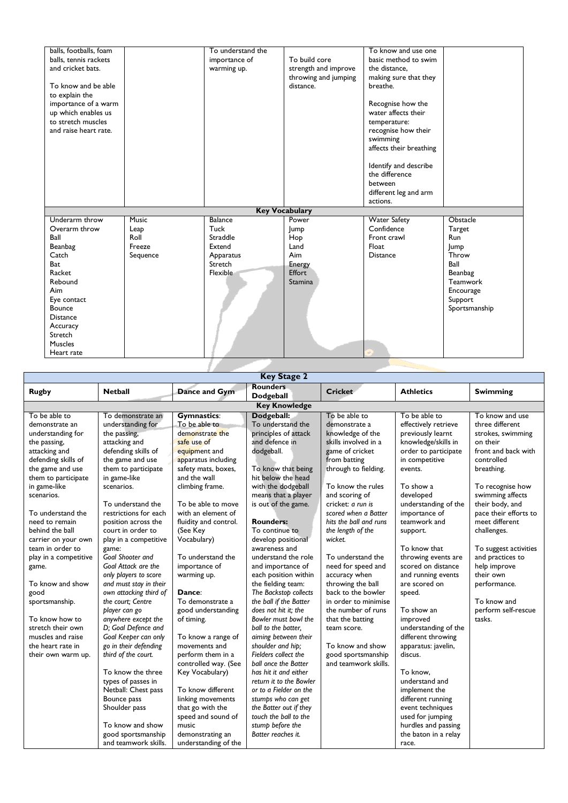| balls, footballs, foam<br>balls, tennis rackets<br>and cricket bats.<br>To know and be able<br>to explain the<br>importance of a warm<br>up which enables us<br>to stretch muscles<br>and raise heart rate. |              | To understand the<br>importance of<br>warming up. | To build core<br>strength and improve<br>throwing and jumping<br>distance. | To know and use one<br>basic method to swim<br>the distance,<br>making sure that they<br>breathe.<br>Recognise how the<br>water affects their<br>temperature:<br>recognise how their<br>swimming<br>affects their breathing<br>Identify and describe<br>the difference<br>between<br>different leg and arm |               |
|-------------------------------------------------------------------------------------------------------------------------------------------------------------------------------------------------------------|--------------|---------------------------------------------------|----------------------------------------------------------------------------|------------------------------------------------------------------------------------------------------------------------------------------------------------------------------------------------------------------------------------------------------------------------------------------------------------|---------------|
|                                                                                                                                                                                                             |              |                                                   |                                                                            | actions.                                                                                                                                                                                                                                                                                                   |               |
|                                                                                                                                                                                                             |              |                                                   | <b>Key Vocabulary</b>                                                      |                                                                                                                                                                                                                                                                                                            |               |
| Underarm throw                                                                                                                                                                                              | <b>Music</b> | <b>Balance</b>                                    | Power                                                                      | <b>Water Safety</b>                                                                                                                                                                                                                                                                                        | Obstacle      |
| Overarm throw                                                                                                                                                                                               | Leap         | Tuck                                              | <b>Jump</b>                                                                | Confidence                                                                                                                                                                                                                                                                                                 | Target        |
| Ball                                                                                                                                                                                                        | Roll         | Straddle                                          | Hop                                                                        | Front crawl                                                                                                                                                                                                                                                                                                | Run           |
| Beanbag                                                                                                                                                                                                     | Freeze       | Extend                                            | Land                                                                       | Float                                                                                                                                                                                                                                                                                                      | <b>Jump</b>   |
| Catch                                                                                                                                                                                                       | Sequence     | Apparatus                                         | Aim                                                                        | <b>Distance</b>                                                                                                                                                                                                                                                                                            | Throw         |
| Bat                                                                                                                                                                                                         |              | Stretch                                           | Energy                                                                     |                                                                                                                                                                                                                                                                                                            | Ball          |
| Racket                                                                                                                                                                                                      |              | Flexible                                          | Effort                                                                     |                                                                                                                                                                                                                                                                                                            | Beanbag       |
| Rebound                                                                                                                                                                                                     |              |                                                   | <b>Stamina</b>                                                             |                                                                                                                                                                                                                                                                                                            | Teamwork      |
| <b>Aim</b>                                                                                                                                                                                                  |              |                                                   |                                                                            |                                                                                                                                                                                                                                                                                                            | Encourage     |
| Eye contact                                                                                                                                                                                                 |              |                                                   |                                                                            |                                                                                                                                                                                                                                                                                                            | Support       |
| <b>Bounce</b>                                                                                                                                                                                               |              |                                                   |                                                                            |                                                                                                                                                                                                                                                                                                            | Sportsmanship |
| <b>Distance</b>                                                                                                                                                                                             |              |                                                   |                                                                            |                                                                                                                                                                                                                                                                                                            |               |
| Accuracy                                                                                                                                                                                                    |              |                                                   |                                                                            |                                                                                                                                                                                                                                                                                                            |               |
| Stretch                                                                                                                                                                                                     |              |                                                   |                                                                            |                                                                                                                                                                                                                                                                                                            |               |
| Muscles                                                                                                                                                                                                     |              |                                                   |                                                                            |                                                                                                                                                                                                                                                                                                            |               |
| Heart rate                                                                                                                                                                                                  |              |                                                   |                                                                            |                                                                                                                                                                                                                                                                                                            |               |
|                                                                                                                                                                                                             |              |                                                   |                                                                            |                                                                                                                                                                                                                                                                                                            |               |

| <b>Key Stage 2</b>    |                                    |                                        |                                                |                                            |                      |                       |  |  |  |
|-----------------------|------------------------------------|----------------------------------------|------------------------------------------------|--------------------------------------------|----------------------|-----------------------|--|--|--|
| <b>Rugby</b>          | <b>Netball</b>                     | Dance and Gym                          | <b>Rounders</b><br><b>Dodgeball</b>            | <b>Cricket</b>                             | <b>Athletics</b>     | <b>Swimming</b>       |  |  |  |
|                       |                                    |                                        | <b>Key Knowledge</b>                           |                                            |                      |                       |  |  |  |
| To be able to         | To demonstrate an                  | <b>Gymnastics:</b>                     | Dodgeball:                                     | To be able to                              | To be able to        | To know and use       |  |  |  |
| demonstrate an        | understanding for                  | To be able to                          | To understand the                              | demonstrate a                              | effectively retrieve | three different       |  |  |  |
| understanding for     | the passing,                       | demonstrate the                        | principles of attack                           | knowledge of the                           | previously learnt    | strokes, swimming     |  |  |  |
| the passing,          | attacking and                      | safe use of                            | and defence in                                 | skills involved in a                       | knowledge/skills in  | on their              |  |  |  |
| attacking and         | defending skills of                | equipment and                          | dodgeball.                                     | game of cricket                            | order to participate | front and back with   |  |  |  |
| defending skills of   | the game and use                   | apparatus including                    |                                                | from batting                               | in competitive       | controlled            |  |  |  |
| the game and use      | them to participate                | safety mats, boxes,                    | To know that being                             | through to fielding.                       | events.              | breathing.            |  |  |  |
| them to participate   | in game-like                       | and the wall                           | hit below the head                             |                                            |                      |                       |  |  |  |
| in game-like          | scenarios.                         | climbing frame.                        | with the dodgeball                             | To know the rules                          | To show a            | To recognise how      |  |  |  |
| scenarios.            |                                    |                                        | means that a player                            | and scoring of                             | developed            | swimming affects      |  |  |  |
|                       | To understand the                  | To be able to move                     | is out of the game.                            | cricket: a run is                          | understanding of the | their body, and       |  |  |  |
| To understand the     | restrictions for each              | with an element of                     |                                                | scored when a Batter                       | importance of        | pace their efforts to |  |  |  |
| need to remain        | position across the                | fluidity and control.                  | <b>Rounders:</b>                               | hits the ball and runs                     | teamwork and         | meet different        |  |  |  |
| behind the ball       | court in order to                  | (See Key                               | To continue to                                 | the length of the                          | support.             | challenges.           |  |  |  |
| carrier on your own   | play in a competitive              | Vocabulary)                            | develop positional                             | wicket.                                    |                      |                       |  |  |  |
| team in order to      | game:                              |                                        | awareness and                                  |                                            | To know that         | To suggest activities |  |  |  |
| play in a competitive | Goal Shooter and                   | To understand the                      | understand the role                            | To understand the                          | throwing events are  | and practices to      |  |  |  |
| game.                 | Goal Attack are the                | importance of                          | and importance of                              | need for speed and                         | scored on distance   | help improve          |  |  |  |
|                       | only players to score              | warming up.                            | each position within                           | accuracy when                              | and running events   | their own             |  |  |  |
| To know and show      | and must stay in their             |                                        | the fielding team:                             | throwing the ball                          | are scored on        | performance.          |  |  |  |
| good                  | own attacking third of             | Dance:                                 | The Backstop collects                          | back to the bowler                         | speed.               | To know and           |  |  |  |
| sportsmanship.        | the court; Centre<br>player can go | To demonstrate a<br>good understanding | the ball if the Batter<br>does not hit it: the | in order to minimise<br>the number of runs | To show an           | perform self-rescue   |  |  |  |
| To know how to        | anywhere except the                | of timing.                             | Bowler must bowl the                           | that the batting                           | improved             | tasks.                |  |  |  |
| stretch their own     | D; Goal Defence and                |                                        | ball to the batter.                            |                                            | understanding of the |                       |  |  |  |
| muscles and raise     | Goal Keeper can only               | To know a range of                     | aiming between their                           | team score.                                | different throwing   |                       |  |  |  |
| the heart rate in     | go in their defending              | movements and                          | shoulder and hip;                              | To know and show                           | apparatus: javelin,  |                       |  |  |  |
| their own warm up.    | third of the court.                | perform them in a                      | Fielders collect the                           | good sportsmanship                         | discus.              |                       |  |  |  |
|                       |                                    | controlled way. (See                   | ball once the Batter                           | and teamwork skills.                       |                      |                       |  |  |  |
|                       | To know the three                  | Key Vocabulary)                        | has hit it and either                          |                                            | To know.             |                       |  |  |  |
|                       | types of passes in                 |                                        | return it to the Bowler                        |                                            | understand and       |                       |  |  |  |
|                       | Netball: Chest pass                | To know different                      | or to a Fielder on the                         |                                            | implement the        |                       |  |  |  |
|                       | Bounce pass                        | linking movements                      | stumps who can get                             |                                            | different running    |                       |  |  |  |
|                       | Shoulder pass                      | that go with the                       | the Batter out if they                         |                                            | event techniques     |                       |  |  |  |
|                       |                                    | speed and sound of                     | touch the ball to the                          |                                            | used for jumping     |                       |  |  |  |
|                       | To know and show                   | music                                  | stump before the                               |                                            | hurdles and passing  |                       |  |  |  |
|                       | good sportsmanship                 | demonstrating an                       | Batter reaches it.                             |                                            | the baton in a relay |                       |  |  |  |
|                       | and teamwork skills.               | understanding of the                   |                                                |                                            | race.                |                       |  |  |  |